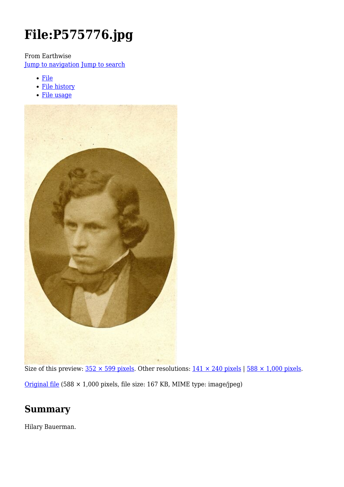# **File:P575776.jpg**

From Earthwise

[Jump to navigation](#page--1-0) [Jump to search](#page--1-0)

- [File](#page--1-0)
- [File history](#page--1-0)
- [File usage](#page--1-0)



Size of this preview:  $352 \times 599$  pixels. Other resolutions:  $141 \times 240$  pixels |  $588 \times 1,000$  pixels. [Original file](http://earthwise.bgs.ac.uk/images/9/9d/P575776.jpg) (588 × 1,000 pixels, file size: 167 KB, MIME type: image/jpeg)

# **Summary**

Hilary Bauerman.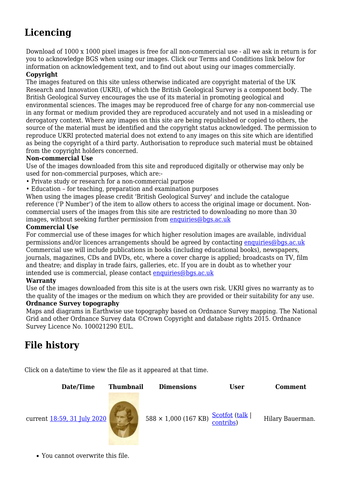# **Licencing**

Download of 1000 x 1000 pixel images is free for all non-commercial use - all we ask in return is for you to acknowledge BGS when using our images. Click our Terms and Conditions link below for information on acknowledgement text, and to find out about using our images commercially.

#### **Copyright**

The images featured on this site unless otherwise indicated are copyright material of the UK Research and Innovation (UKRI), of which the British Geological Survey is a component body. The British Geological Survey encourages the use of its material in promoting geological and environmental sciences. The images may be reproduced free of charge for any non-commercial use in any format or medium provided they are reproduced accurately and not used in a misleading or derogatory context. Where any images on this site are being republished or copied to others, the source of the material must be identified and the copyright status acknowledged. The permission to reproduce UKRI protected material does not extend to any images on this site which are identified as being the copyright of a third party. Authorisation to reproduce such material must be obtained from the copyright holders concerned.

#### **Non-commercial Use**

Use of the images downloaded from this site and reproduced digitally or otherwise may only be used for non-commercial purposes, which are:-

- Private study or research for a non-commercial purpose
- Education for teaching, preparation and examination purposes

When using the images please credit 'British Geological Survey' and include the catalogue reference ('P Number') of the item to allow others to access the original image or document. Noncommercial users of the images from this site are restricted to downloading no more than 30 images, without seeking further permission from [enquiries@bgs.ac.uk](mailto:enquiries@bgs.ac.uk)

#### **Commercial Use**

For commercial use of these images for which higher resolution images are available, individual permissions and/or licences arrangements should be agreed by contacting [enquiries@bgs.ac.uk](mailto:enquiries@bgs.ac.uk) Commercial use will include publications in books (including educational books), newspapers, journals, magazines, CDs and DVDs, etc, where a cover charge is applied; broadcasts on TV, film and theatre; and display in trade fairs, galleries, etc. If you are in doubt as to whether your intended use is commercial, please contact [enquiries@bgs.ac.uk](mailto:enquiries@bgs.ac.uk)

#### **Warranty**

Use of the images downloaded from this site is at the users own risk. UKRI gives no warranty as to the quality of the images or the medium on which they are provided or their suitability for any use.

#### **Ordnance Survey topography**

Maps and diagrams in Earthwise use topography based on Ordnance Survey mapping. The National Grid and other Ordnance Survey data ©Crown Copyright and database rights 2015. Ordnance Survey Licence No. 100021290 EUL.

# **File history**

Click on a date/time to view the file as it appeared at that time.



You cannot overwrite this file.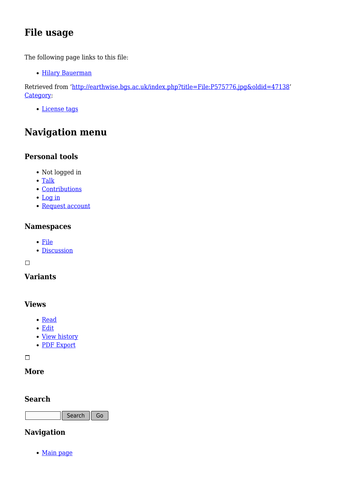# **File usage**

The following page links to this file:

• [Hilary Bauerman](http://earthwise.bgs.ac.uk/index.php/Hilary_Bauerman)

Retrieved from ['http://earthwise.bgs.ac.uk/index.php?title=File:P575776.jpg&oldid=47138](http://earthwise.bgs.ac.uk/index.php?title=File:P575776.jpg&oldid=47138)' [Category](http://earthwise.bgs.ac.uk/index.php/Special:Categories):

[License tags](http://earthwise.bgs.ac.uk/index.php/Category:License_tags)

# **Navigation menu**

### **Personal tools**

- Not logged in
- [Talk](http://earthwise.bgs.ac.uk/index.php/Special:MyTalk)
- [Contributions](http://earthwise.bgs.ac.uk/index.php/Special:MyContributions)
- [Log in](http://earthwise.bgs.ac.uk/index.php?title=Special:UserLogin&returnto=File%3AP575776.jpg&returntoquery=action%3Dmpdf)
- [Request account](http://earthwise.bgs.ac.uk/index.php/Special:RequestAccount)

### **Namespaces**

- [File](http://earthwise.bgs.ac.uk/index.php/File:P575776.jpg)
- [Discussion](http://earthwise.bgs.ac.uk/index.php?title=File_talk:P575776.jpg&action=edit&redlink=1)

 $\Box$ 

### **Variants**

### **Views**

- [Read](http://earthwise.bgs.ac.uk/index.php/File:P575776.jpg)
- [Edit](http://earthwise.bgs.ac.uk/index.php?title=File:P575776.jpg&action=edit)
- [View history](http://earthwise.bgs.ac.uk/index.php?title=File:P575776.jpg&action=history)
- [PDF Export](http://earthwise.bgs.ac.uk/index.php?title=File:P575776.jpg&action=mpdf)

 $\overline{\phantom{a}}$ 

### **More**

### **Search**

Search Go

### **Navigation**

• [Main page](http://earthwise.bgs.ac.uk/index.php/Main_Page)